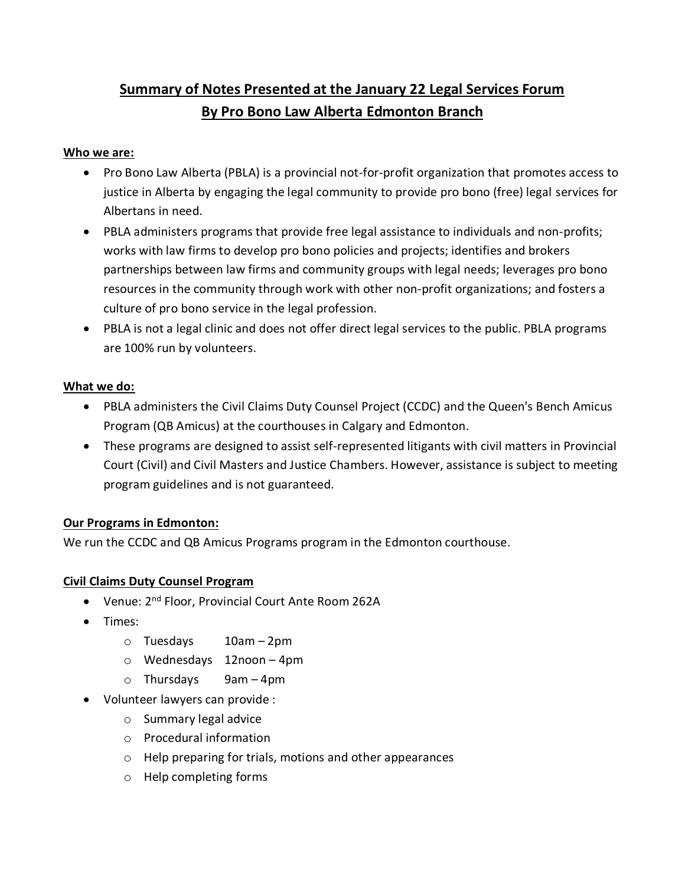# **Summary of Notes Presented at the January 22 Legal Services Forum By Pro Bono Law Alberta Edmonton Branch**

### **Who we are:**

- Pro Bono Law Alberta (PBLA) is a provincial not-for-profit organization that promotes access to justice in Alberta by engaging the legal community to provide pro bono (free) legal services for Albertans in need.
- PBLA administers programs that provide free legal assistance to individuals and non-profits; works with law firms to develop pro bono policies and projects; identifies and brokers partnerships between law firms and community groups with legal needs; leverages pro bono resources in the community through work with other non-profit organizations; and fosters a culture of pro bono service in the legal profession.
- PBLA is not a legal clinic and does not offer direct legal services to the public. PBLA programs are 100% run by volunteers.

## **What we do:**

- PBLA administers the Civil Claims Duty Counsel Project (CCDC) and the Queen's Bench Amicus Program (QB Amicus) at the courthouses in Calgary and Edmonton.
- These programs are designed to assist self-represented litigants with civil matters in Provincial Court (Civil) and Civil Masters and Justice Chambers. However, assistance is subject to meeting program guidelines and is not guaranteed.

## **Our Programs in Edmonton:**

We run the CCDC and QB Amicus Programs program in the Edmonton courthouse.

## **Civil Claims Duty Counsel Program**

- Venue: 2<sup>nd</sup> Floor, Provincial Court Ante Room 262A
- Times:
	- o Tuesdays 10am 2pm
	- o Wednesdays 12noon 4pm
	- $\circ$  Thursdays 9am 4pm
- Volunteer lawyers can provide :
	- o Summary legal advice
	- o Procedural information
	- o Help preparing for trials, motions and other appearances
	- o Help completing forms